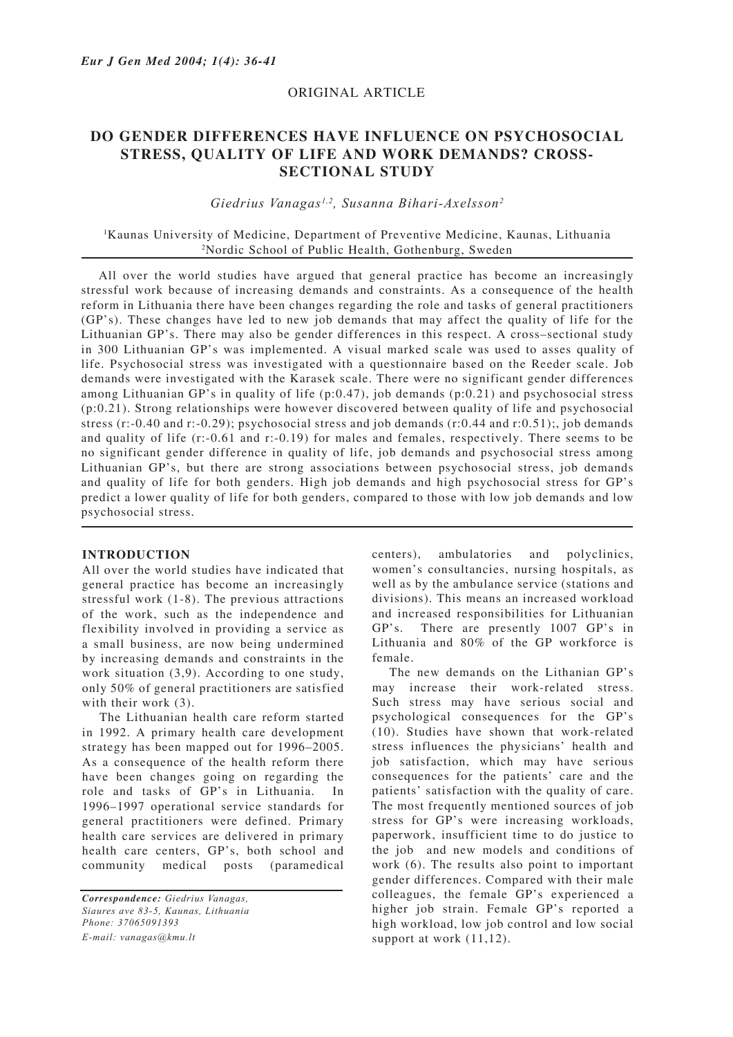## ORIGINAL ARTICLE

# **DO GENDER DIFFERENCES HAVE INFLUENCE ON PSYCHOSOCIAL STRESS, QUALITY OF LIFE AND WORK DEMANDS? CROSS-SECTIONAL STUDY**

## *Giedrius Vanagas1,2, Susanna Bihari-Axelsson2*

## 1 Kaunas University of Medicine, Department of Preventive Medicine, Kaunas, Lithuania 2 Nordic School of Public Health, Gothenburg, Sweden

All over the world studies have argued that general practice has become an increasingly stressful work because of increasing demands and constraints. As a consequence of the health reform in Lithuania there have been changes regarding the role and tasks of general practitioners (GP's). These changes have led to new job demands that may affect the quality of life for the Lithuanian GP's. There may also be gender differences in this respect. A cross–sectional study in 300 Lithuanian GP's was implemented. A visual marked scale was used to asses quality of life. Psychosocial stress was investigated with a questionnaire based on the Reeder scale. Job demands were investigated with the Karasek scale. There were no significant gender differences among Lithuanian GP's in quality of life (p:0.47), job demands (p:0.21) and psychosocial stress (p:0.21). Strong relationships were however discovered between quality of life and psychosocial stress (r:-0.40 and r:-0.29); psychosocial stress and job demands (r:0.44 and r:0.51);, job demands and quality of life (r:-0.61 and r:-0.19) for males and females, respectively. There seems to be no significant gender difference in quality of life, job demands and psychosocial stress among Lithuanian GP's, but there are strong associations between psychosocial stress, job demands and quality of life for both genders. High job demands and high psychosocial stress for GP's predict a lower quality of life for both genders, compared to those with low job demands and low psychosocial stress.

#### **INTRODUCTION**

All over the world studies have indicated that general practice has become an increasingly stressful work (1-8). The previous attractions of the work, such as the independence and flexibility involved in providing a service as a small business, are now being undermined by increasing demands and constraints in the work situation (3,9). According to one study, only 50% of general practitioners are satisfied with their work  $(3)$ .

The Lithuanian health care reform started in 1992. A primary health care development strategy has been mapped out for 1996–2005. As a consequence of the health reform there have been changes going on regarding the role and tasks of GP's in Lithuania. In 1996–1997 operational service standards for general practitioners were defined. Primary health care services are delivered in primary health care centers, GP's, both school and community medical posts (paramedical

centers), ambulatories and polyclinics, women's consultancies, nursing hospitals, as well as by the ambulance service (stations and divisions). This means an increased workload and increased responsibilities for Lithuanian GP's. There are presently 1007 GP's in Lithuania and 80% of the GP workforce is female.

The new demands on the Lithanian GP's may increase their work-related stress. Such stress may have serious social and psychological consequences for the GP's (10). Studies have shown that work-related stress influences the physicians' health and job satisfaction, which may have serious consequences for the patients' care and the patients' satisfaction with the quality of care. The most frequently mentioned sources of job stress for GP's were increasing workloads, paperwork, insufficient time to do justice to the job and new models and conditions of work (6). The results also point to important gender differences. Compared with their male colleagues, the female GP's experienced a higher job strain. Female GP's reported a high workload, low job control and low social support at work  $(11,12)$ .

*Correspondence: Giedrius Vanagas, Siaures ave 83-5, Kaunas, Lithuania Phone: 37065091393 E-mail: vanagas@kmu.lt*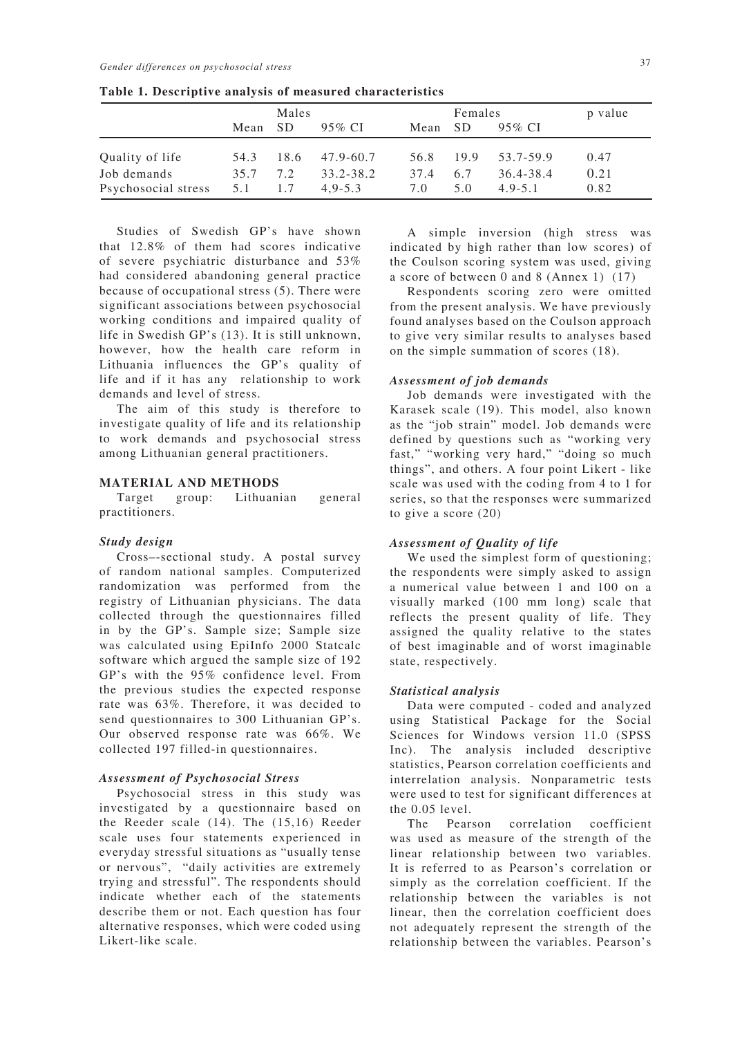|                     | Males |      |             | Females |           |             | p value |
|---------------------|-------|------|-------------|---------|-----------|-------------|---------|
|                     | Mean  | SD.  | 95% CI      | Mean    | <b>SD</b> | 95% CI      |         |
| Quality of life     | 54.3  | 18.6 | 47.9-60.7   | 56.8    | 19.9      | 53.7-59.9   | 0.47    |
| Job demands         | 35.7  | 7.2  | 33.2-38.2   | 37.4    | 6.7       | 36.4-38.4   | 0.21    |
| Psychosocial stress | 5.1   | 1.7  | $4.9 - 5.3$ | 7.0     | 5.0       | $4.9 - 5.1$ | 0.82    |

**Table 1. Descriptive analysis of measured characteristics**

Studies of Swedish GP's have shown that 12.8% of them had scores indicative of severe psychiatric disturbance and 53% had considered abandoning general practice because of occupational stress (5). There were significant associations between psychosocial working conditions and impaired quality of life in Swedish GP's (13). It is still unknown, however, how the health care reform in Lithuania influences the GP's quality of life and if it has any relationship to work demands and level of stress.

The aim of this study is therefore to investigate quality of life and its relationship to work demands and psychosocial stress among Lithuanian general practitioners.

## **MATERIAL AND METHODS**

Target group: Lithuanian general practitioners.

#### *Study design*

Cross–-sectional study. A postal survey of random national samples. Computerized randomization was performed from the registry of Lithuanian physicians. The data collected through the questionnaires filled in by the GP's. Sample size; Sample size was calculated using EpiInfo 2000 Statcalc software which argued the sample size of 192 GP's with the 95% confidence level. From the previous studies the expected response rate was 63%. Therefore, it was decided to send questionnaires to 300 Lithuanian GP's. Our observed response rate was 66%. We collected 197 filled-in questionnaires.

#### *Assessment of Psychosocial Stress*

Psychosocial stress in this study was investigated by a questionnaire based on the Reeder scale (14). The (15,16) Reeder scale uses four statements experienced in everyday stressful situations as "usually tense or nervous", "daily activities are extremely trying and stressful". The respondents should indicate whether each of the statements describe them or not. Each question has four alternative responses, which were coded using Likert-like scale.

A simple inversion (high stress was indicated by high rather than low scores) of the Coulson scoring system was used, giving a score of between 0 and 8 (Annex 1) (17)

Respondents scoring zero were omitted from the present analysis. We have previously found analyses based on the Coulson approach to give very similar results to analyses based on the simple summation of scores (18).

#### *Assessment of job demands*

Job demands were investigated with the Karasek scale (19). This model, also known as the "job strain" model. Job demands were defined by questions such as "working very fast," "working very hard," "doing so much things", and others. A four point Likert - like scale was used with the coding from 4 to 1 for series, so that the responses were summarized to give a score (20)

#### *Assessment of Quality of life*

We used the simplest form of questioning; the respondents were simply asked to assign a numerical value between 1 and 100 on a visually marked (100 mm long) scale that reflects the present quality of life. They assigned the quality relative to the states of best imaginable and of worst imaginable state, respectively.

#### *Statistical analysis*

Data were computed - coded and analyzed using Statistical Package for the Social Sciences for Windows version 11.0 (SPSS Inc). The analysis included descriptive statistics, Pearson correlation coefficients and interrelation analysis. Nonparametric tests were used to test for significant differences at the 0.05 level.

The Pearson correlation coefficient was used as measure of the strength of the linear relationship between two variables. It is referred to as Pearson's correlation or simply as the correlation coefficient. If the relationship between the variables is not linear, then the correlation coefficient does not adequately represent the strength of the relationship between the variables. Pearson's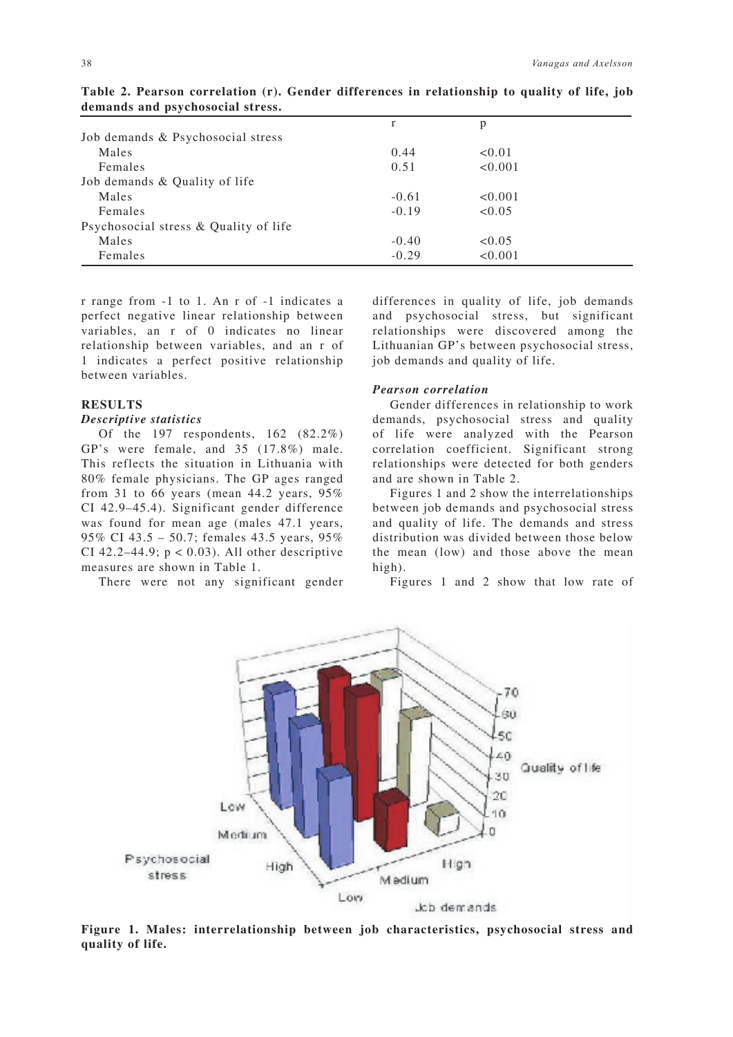|                                       | r       | p       |  |
|---------------------------------------|---------|---------|--|
| Job demands & Psychosocial stress     |         |         |  |
| Males                                 | 0.44    | < 0.01  |  |
| Females                               | 0.51    | < 0.001 |  |
| Job demands & Quality of life         |         |         |  |
| Males                                 | $-0.61$ | < 0.001 |  |
| Females                               | $-0.19$ | < 0.05  |  |
| Psychosocial stress & Quality of life |         |         |  |
| Males                                 | $-0.40$ | < 0.05  |  |
| Females                               | $-0.29$ | < 0.001 |  |

**Table 2. Pearson correlation (r). Gender differences in relationship to quality of life, job demands and psychosocial stress.**

r range from -1 to 1. An r of -1 indicates a perfect negative linear relationship between variables, an r of 0 indicates no linear relationship between variables, and an r of 1 indicates a perfect positive relationship between variables.

## **RESULTS**

#### *Descriptive statistics*

Of the 197 respondents, 162 (82.2%) GP's were female, and 35 (17.8%) male. This reflects the situation in Lithuania with 80% female physicians. The GP ages ranged from 31 to 66 years (mean 44.2 years, 95% CI 42.9–45.4). Significant gender difference was found for mean age (males 47.1 years, 95% CI 43.5 – 50.7; females 43.5 years, 95% CI 42.2–44.9;  $p < 0.03$ ). All other descriptive measures are shown in Table 1.

There were not any significant gender

differences in quality of life, job demands and psychosocial stress, but significant relationships were discovered among the Lithuanian GP's between psychosocial stress, job demands and quality of life.

## *Pearson correlation*

Gender differences in relationship to work demands, psychosocial stress and quality of life were analyzed with the Pearson correlation coefficient. Significant strong relationships were detected for both genders and are shown in Table 2.

Figures 1 and 2 show the interrelationships between job demands and psychosocial stress and quality of life. The demands and stress distribution was divided between those below the mean (low) and those above the mean high).

Figures 1 and 2 show that low rate of



**Figure 1. Males: interrelationship between job characteristics, psychosocial stress and quality of life.**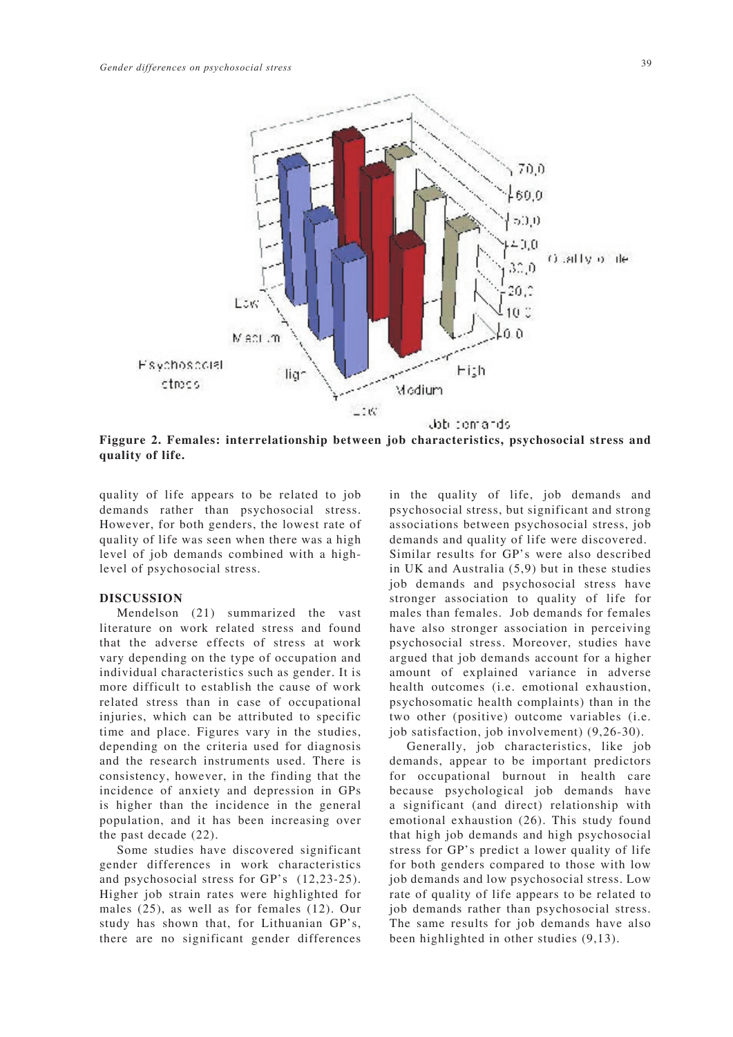

**Figgure 2. Females: interrelationship between job characteristics, psychosocial stress and quality of life.**

quality of life appears to be related to job demands rather than psychosocial stress. However, for both genders, the lowest rate of quality of life was seen when there was a high level of job demands combined with a highlevel of psychosocial stress.

## **DISCUSSION**

Mendelson (21) summarized the vast literature on work related stress and found that the adverse effects of stress at work vary depending on the type of occupation and individual characteristics such as gender. It is more difficult to establish the cause of work related stress than in case of occupational injuries, which can be attributed to specific time and place. Figures vary in the studies, depending on the criteria used for diagnosis and the research instruments used. There is consistency, however, in the finding that the incidence of anxiety and depression in GPs is higher than the incidence in the general population, and it has been increasing over the past decade (22).

Some studies have discovered significant gender differences in work characteristics and psychosocial stress for GP's (12,23-25). Higher job strain rates were highlighted for males (25), as well as for females (12). Our study has shown that, for Lithuanian GP's, there are no significant gender differences in the quality of life, job demands and psychosocial stress, but significant and strong associations between psychosocial stress, job demands and quality of life were discovered. Similar results for GP's were also described in UK and Australia (5,9) but in these studies job demands and psychosocial stress have stronger association to quality of life for males than females. Job demands for females have also stronger association in perceiving psychosocial stress. Moreover, studies have argued that job demands account for a higher amount of explained variance in adverse health outcomes (i.e. emotional exhaustion, psychosomatic health complaints) than in the two other (positive) outcome variables (i.e. job satisfaction, job involvement) (9,26-30).

Generally, job characteristics, like job demands, appear to be important predictors for occupational burnout in health care because psychological job demands have a significant (and direct) relationship with emotional exhaustion (26). This study found that high job demands and high psychosocial stress for GP's predict a lower quality of life for both genders compared to those with low job demands and low psychosocial stress. Low rate of quality of life appears to be related to job demands rather than psychosocial stress. The same results for job demands have also been highlighted in other studies (9,13).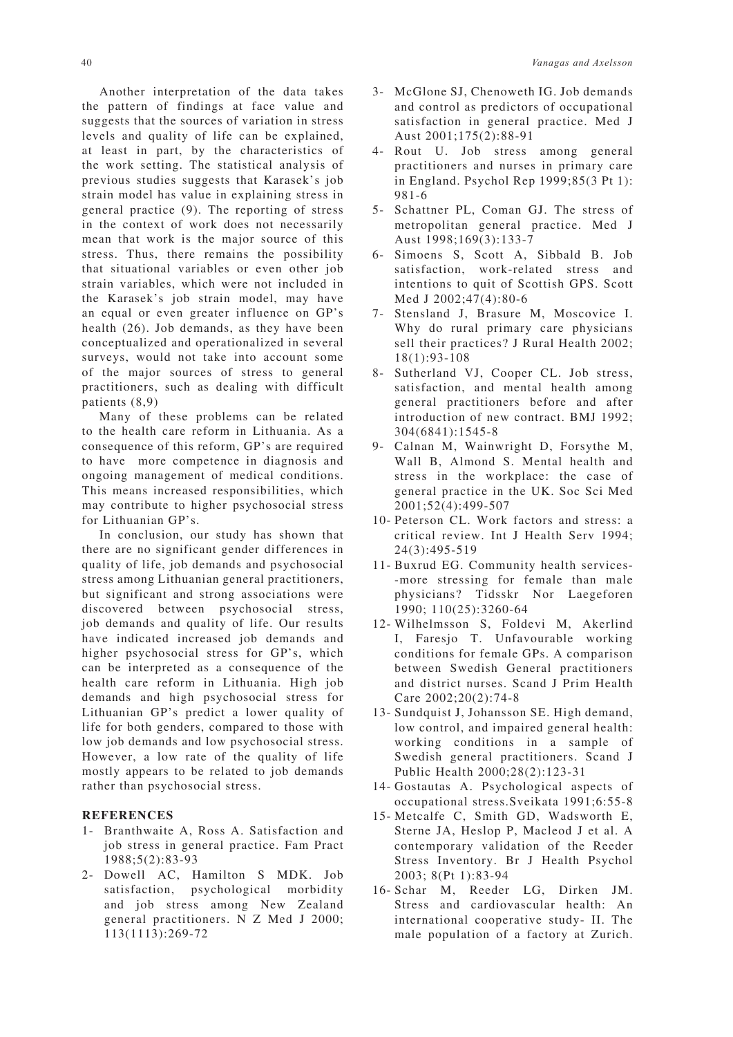Another interpretation of the data takes the pattern of findings at face value and suggests that the sources of variation in stress levels and quality of life can be explained, at least in part, by the characteristics of the work setting. The statistical analysis of previous studies suggests that Karasek's job strain model has value in explaining stress in general practice (9). The reporting of stress in the context of work does not necessarily mean that work is the major source of this stress. Thus, there remains the possibility that situational variables or even other job strain variables, which were not included in the Karasek's job strain model, may have an equal or even greater influence on GP's health (26). Job demands, as they have been conceptualized and operationalized in several surveys, would not take into account some of the major sources of stress to general practitioners, such as dealing with difficult patients (8,9)

Many of these problems can be related to the health care reform in Lithuania. As a consequence of this reform, GP's are required to have more competence in diagnosis and ongoing management of medical conditions. This means increased responsibilities, which may contribute to higher psychosocial stress for Lithuanian GP's.

In conclusion, our study has shown that there are no significant gender differences in quality of life, job demands and psychosocial stress among Lithuanian general practitioners, but significant and strong associations were discovered between psychosocial stress, job demands and quality of life. Our results have indicated increased job demands and higher psychosocial stress for GP's, which can be interpreted as a consequence of the health care reform in Lithuania. High job demands and high psychosocial stress for Lithuanian GP's predict a lower quality of life for both genders, compared to those with low job demands and low psychosocial stress. However, a low rate of the quality of life mostly appears to be related to job demands rather than psychosocial stress.

## **REFERENCES**

- 1- Branthwaite A, Ross A. Satisfaction and job stress in general practice. Fam Pract 1988;5(2):83-93
- 2- Dowell AC, Hamilton S MDK. Job satisfaction, psychological morbidity and job stress among New Zealand general practitioners. N Z Med J 2000; 113(1113):269-72
- 3- McGlone SJ, Chenoweth IG. Job demands and control as predictors of occupational satisfaction in general practice. Med J Aust 2001;175(2):88-91
- 4- Rout U. Job stress among general practitioners and nurses in primary care in England. Psychol Rep 1999;85(3 Pt 1): 981-6
- 5- Schattner PL, Coman GJ. The stress of metropolitan general practice. Med J Aust 1998;169(3):133-7
- 6- Simoens S, Scott A, Sibbald B. Job satisfaction, work-related stress and intentions to quit of Scottish GPS. Scott Med J 2002;47(4):80-6
- 7- Stensland J, Brasure M, Moscovice I. Why do rural primary care physicians sell their practices? J Rural Health 2002; 18(1):93-108
- 8- Sutherland VJ, Cooper CL. Job stress, satisfaction, and mental health among general practitioners before and after introduction of new contract. BMJ 1992; 304(6841):1545-8
- 9- Calnan M, Wainwright D, Forsythe M, Wall B, Almond S. Mental health and stress in the workplace: the case of general practice in the UK. Soc Sci Med 2001;52(4):499-507
- 10- Peterson CL. Work factors and stress: a critical review. Int J Health Serv 1994; 24(3):495-519
- 11- Buxrud EG. Community health services- -more stressing for female than male physicians? Tidsskr Nor Laegeforen 1990; 110(25):3260-64
- 12- Wilhelmsson S, Foldevi M, Akerlind I, Faresjo T. Unfavourable working conditions for female GPs. A comparison between Swedish General practitioners and district nurses. Scand J Prim Health Care 2002;20(2):74-8
- 13- Sundquist J, Johansson SE. High demand, low control, and impaired general health: working conditions in a sample of Swedish general practitioners. Scand J Public Health 2000;28(2):123-31
- 14- Gostautas A. Psychological aspects of occupational stress.Sveikata 1991;6:55-8
- 15- Metcalfe C, Smith GD, Wadsworth E, Sterne JA, Heslop P, Macleod J et al. A contemporary validation of the Reeder Stress Inventory. Br J Health Psychol 2003; 8(Pt 1):83-94
- 16- Schar M, Reeder LG, Dirken JM. Stress and cardiovascular health: An international cooperative study- II. The male population of a factory at Zurich.